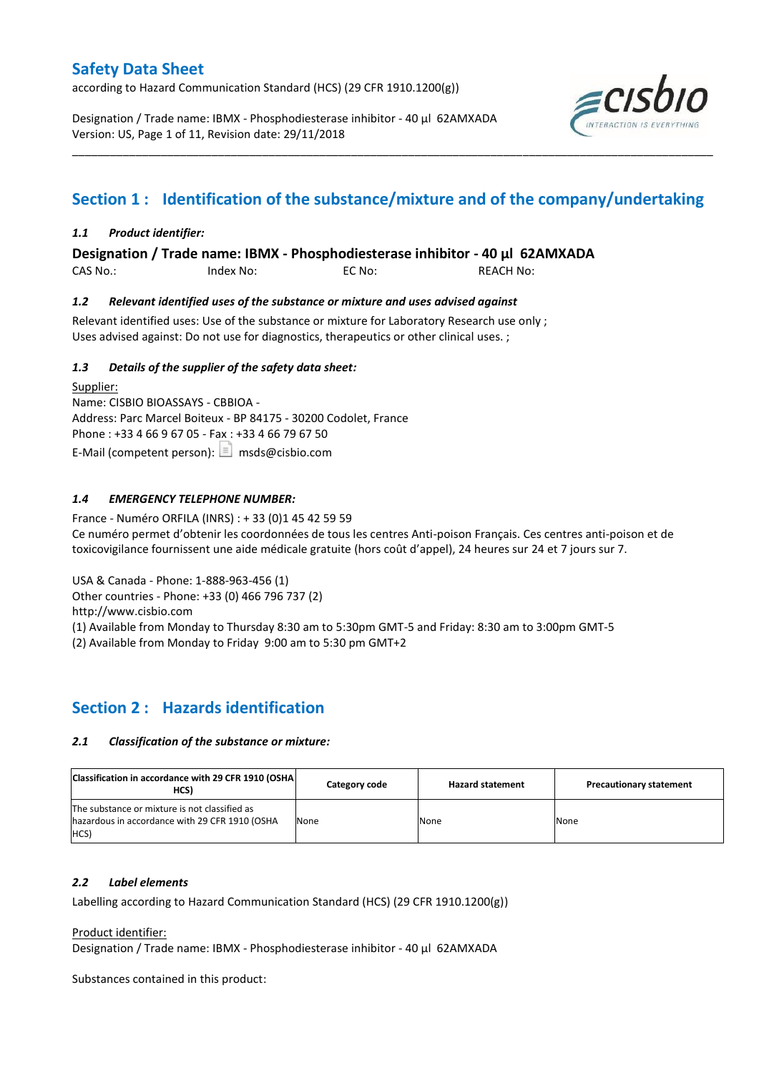according to Hazard Communication Standard (HCS) (29 CFR 1910.1200(g))

Designation / Trade name: IBMX - Phosphodiesterase inhibitor - 40 µl 62AMXADA Version: US, Page 1 of 11, Revision date: 29/11/2018



# **Section 1 : Identification of the substance/mixture and of the company/undertaking**

\_\_\_\_\_\_\_\_\_\_\_\_\_\_\_\_\_\_\_\_\_\_\_\_\_\_\_\_\_\_\_\_\_\_\_\_\_\_\_\_\_\_\_\_\_\_\_\_\_\_\_\_\_\_\_\_\_\_\_\_\_\_\_\_\_\_\_\_\_\_\_\_\_\_\_\_\_\_\_\_\_\_\_\_\_\_\_\_\_\_\_\_\_\_\_\_\_\_\_\_\_

## *1.1 Product identifier:*

**Designation / Trade name: IBMX - Phosphodiesterase inhibitor - 40 µl 62AMXADA** 

CAS No.: Index No: EC No: REACH No:

### *1.2 Relevant identified uses of the substance or mixture and uses advised against*

Relevant identified uses: Use of the substance or mixture for Laboratory Research use only ; Uses advised against: Do not use for diagnostics, therapeutics or other clinical uses. ;

### *1.3 Details of the supplier of the safety data sheet:*

Supplier: Name: CISBIO BIOASSAYS - CBBIOA - Address: Parc Marcel Boiteux - BP 84175 - 30200 Codolet, France Phone : +33 4 66 9 67 05 - Fax : +33 4 66 79 67 50 E-Mail (competent person):  $\boxed{\equiv}$  msds@cisbio.com

## *1.4 EMERGENCY TELEPHONE NUMBER:*

France - Numéro ORFILA (INRS) : + 33 (0)1 45 42 59 59 Ce numéro permet d'obtenir les coordonnées de tous les centres Anti-poison Français. Ces centres anti-poison et de toxicovigilance fournissent une aide médicale gratuite (hors coût d'appel), 24 heures sur 24 et 7 jours sur 7.

USA & Canada - Phone: 1-888-963-456 (1)

Other countries - Phone: +33 (0) 466 796 737 (2)

http://www.cisbio.com

(1) Available from Monday to Thursday 8:30 am to 5:30pm GMT-5 and Friday: 8:30 am to 3:00pm GMT-5

(2) Available from Monday to Friday 9:00 am to 5:30 pm GMT+2

## **Section 2 : Hazards identification**

### *2.1 Classification of the substance or mixture:*

| Classification in accordance with 29 CFR 1910 (OSHA)<br>HCS)                                            | Category code | <b>Hazard statement</b> | <b>Precautionary statement</b> |
|---------------------------------------------------------------------------------------------------------|---------------|-------------------------|--------------------------------|
| The substance or mixture is not classified as<br>hazardous in accordance with 29 CFR 1910 (OSHA<br>HCS) | None          | None                    | None                           |

### *2.2 Label elements*

Labelling according to Hazard Communication Standard (HCS) (29 CFR 1910.1200(g))

Product identifier:

Designation / Trade name: IBMX - Phosphodiesterase inhibitor - 40 µl 62AMXADA

Substances contained in this product: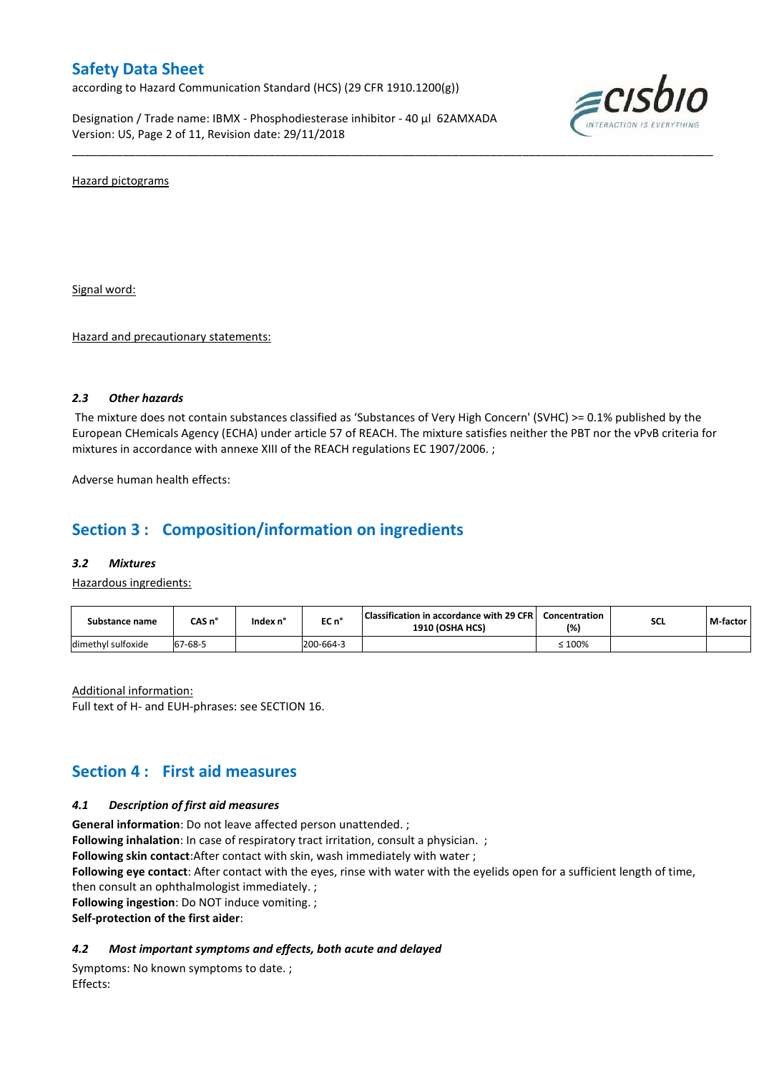according to Hazard Communication Standard (HCS) (29 CFR 1910.1200(g))

Designation / Trade name: IBMX - Phosphodiesterase inhibitor - 40 µl 62AMXADA Version: US, Page 2 of 11, Revision date: 29/11/2018



Hazard pictograms

Signal word:

Hazard and precautionary statements:

### *2.3 Other hazards*

The mixture does not contain substances classified as 'Substances of Very High Concern' (SVHC) >= 0.1% published by the European CHemicals Agency (ECHA) under article 57 of REACH. The mixture satisfies neither the PBT nor the vPvB criteria for mixtures in accordance with annexe XIII of the REACH regulations EC 1907/2006. ;

\_\_\_\_\_\_\_\_\_\_\_\_\_\_\_\_\_\_\_\_\_\_\_\_\_\_\_\_\_\_\_\_\_\_\_\_\_\_\_\_\_\_\_\_\_\_\_\_\_\_\_\_\_\_\_\_\_\_\_\_\_\_\_\_\_\_\_\_\_\_\_\_\_\_\_\_\_\_\_\_\_\_\_\_\_\_\_\_\_\_\_\_\_\_\_\_\_\_\_\_\_

Adverse human health effects:

## **Section 3 : Composition/information on ingredients**

#### *3.2 Mixtures*

Hazardous ingredients:

| Substance name     | CAS n°  | Index n' | EC n°     | Classification in accordance with 29 CFR  <br><b>1910 (OSHA HCS)</b> | Concentration<br>(%) | <b>SCL</b> | M-factor |
|--------------------|---------|----------|-----------|----------------------------------------------------------------------|----------------------|------------|----------|
| dimethyl sulfoxide | 67-68-5 |          | 200-664-3 |                                                                      | $\leq 100\%$         |            |          |

Additional information: Full text of H- and EUH-phrases: see SECTION 16.

## **Section 4 : First aid measures**

### *4.1 Description of first aid measures*

**General information**: Do not leave affected person unattended. ;

**Following inhalation**: In case of respiratory tract irritation, consult a physician. ;

**Following skin contact**:After contact with skin, wash immediately with water ;

**Following eye contact**: After contact with the eyes, rinse with water with the eyelids open for a sufficient length of time, then consult an ophthalmologist immediately. ;

**Following ingestion**: Do NOT induce vomiting. ;

**Self-protection of the first aider**:

### *4.2 Most important symptoms and effects, both acute and delayed*

Symptoms: No known symptoms to date. ; Effects: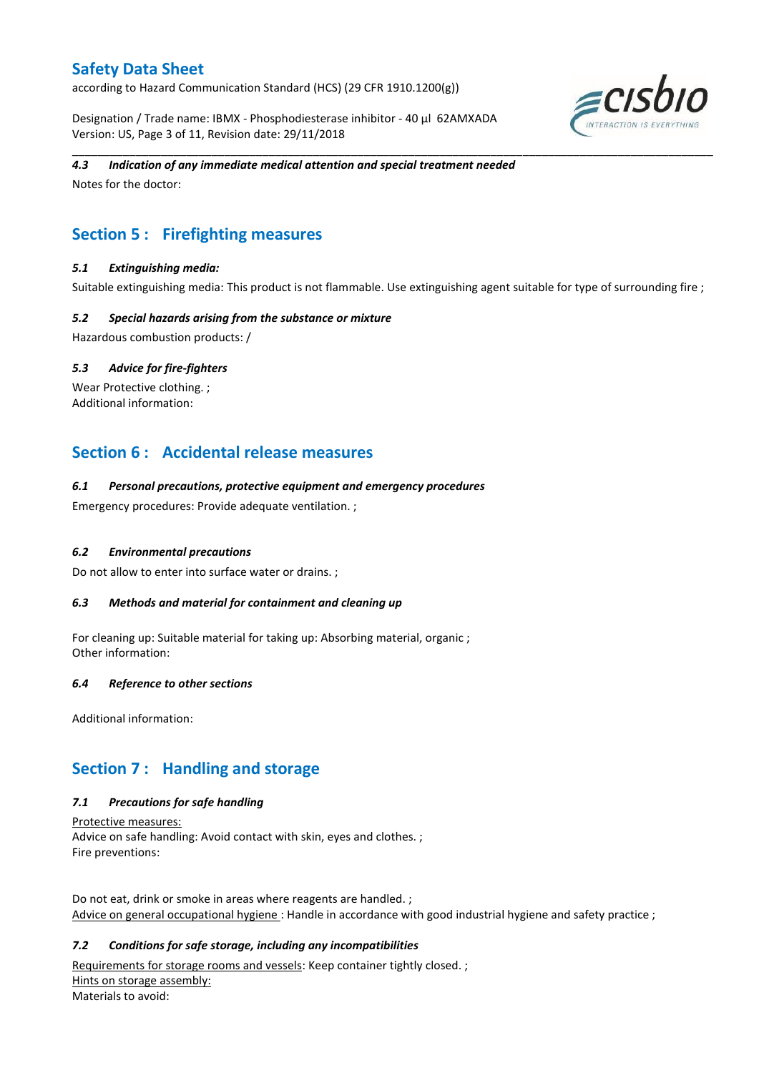according to Hazard Communication Standard (HCS) (29 CFR 1910.1200(g))

Designation / Trade name: IBMX - Phosphodiesterase inhibitor - 40 µl 62AMXADA Version: US, Page 3 of 11, Revision date: 29/11/2018



## *4.3 Indication of any immediate medical attention and special treatment needed*

Notes for the doctor:

# **Section 5 : Firefighting measures**

## *5.1 Extinguishing media:*

Suitable extinguishing media: This product is not flammable. Use extinguishing agent suitable for type of surrounding fire ;

\_\_\_\_\_\_\_\_\_\_\_\_\_\_\_\_\_\_\_\_\_\_\_\_\_\_\_\_\_\_\_\_\_\_\_\_\_\_\_\_\_\_\_\_\_\_\_\_\_\_\_\_\_\_\_\_\_\_\_\_\_\_\_\_\_\_\_\_\_\_\_\_\_\_\_\_\_\_\_\_\_\_\_\_\_\_\_\_\_\_\_\_\_\_\_\_\_\_\_\_\_

### *5.2 Special hazards arising from the substance or mixture*

Hazardous combustion products: /

### *5.3 Advice for fire-fighters*

Wear Protective clothing.; Additional information:

## **Section 6 : Accidental release measures**

### *6.1 Personal precautions, protective equipment and emergency procedures*

Emergency procedures: Provide adequate ventilation. ;

### *6.2 Environmental precautions*

Do not allow to enter into surface water or drains. ;

### *6.3 Methods and material for containment and cleaning up*

For cleaning up: Suitable material for taking up: Absorbing material, organic ; Other information:

### *6.4 Reference to other sections*

Additional information:

# **Section 7 : Handling and storage**

## *7.1 Precautions for safe handling*

Protective measures: Advice on safe handling: Avoid contact with skin, eyes and clothes. ; Fire preventions:

Do not eat, drink or smoke in areas where reagents are handled. ; Advice on general occupational hygiene: Handle in accordance with good industrial hygiene and safety practice ;

## *7.2 Conditions for safe storage, including any incompatibilities*

Requirements for storage rooms and vessels: Keep container tightly closed. ; Hints on storage assembly: Materials to avoid: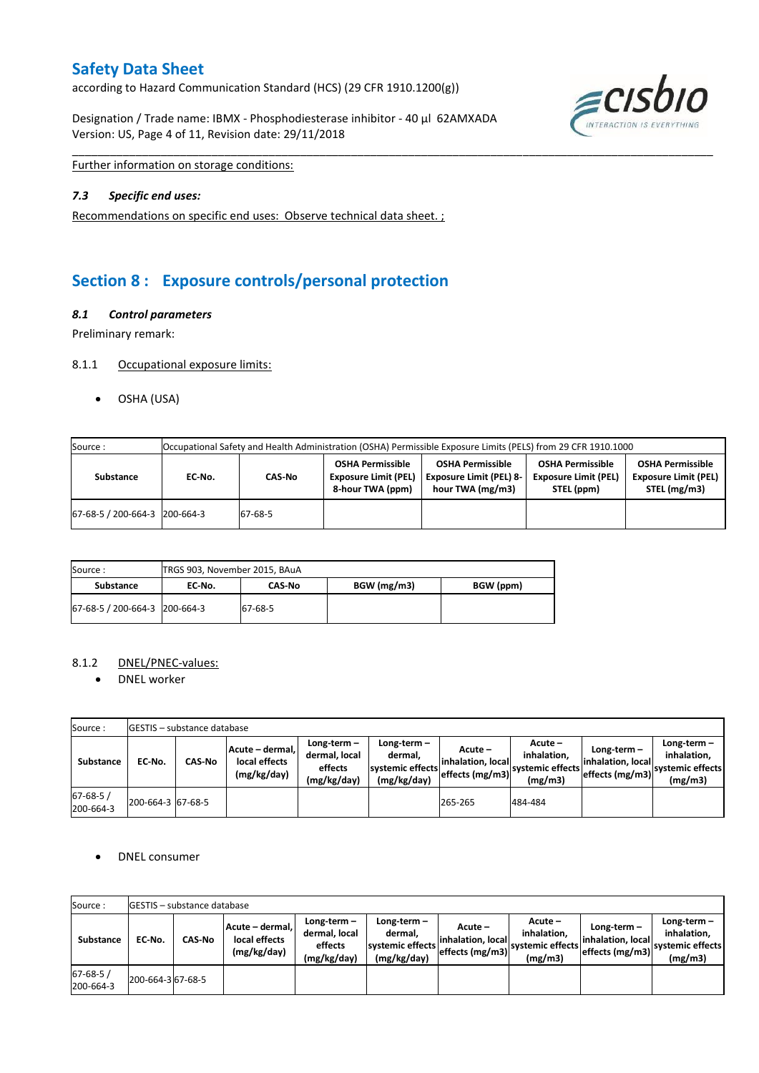according to Hazard Communication Standard (HCS) (29 CFR 1910.1200(g))

Designation / Trade name: IBMX - Phosphodiesterase inhibitor - 40 µl 62AMXADA Version: US, Page 4 of 11, Revision date: 29/11/2018



Further information on storage conditions:

### *7.3 Specific end uses:*

Recommendations on specific end uses: Observe technical data sheet. ;

# **Section 8 : Exposure controls/personal protection**

### *8.1 Control parameters*

Preliminary remark:

### 8.1.1 Occupational exposure limits:

OSHA (USA)

| Source:                       | Occupational Safety and Health Administration (OSHA) Permissible Exposure Limits (PELS) from 29 CFR 1910.1000 |         |                                                                            |                                                                               |                                                                      |                                                                        |  |  |
|-------------------------------|---------------------------------------------------------------------------------------------------------------|---------|----------------------------------------------------------------------------|-------------------------------------------------------------------------------|----------------------------------------------------------------------|------------------------------------------------------------------------|--|--|
| <b>Substance</b>              | EC No.                                                                                                        | CAS-No  | <b>OSHA Permissible</b><br><b>Exposure Limit (PEL)</b><br>8-hour TWA (ppm) | <b>OSHA Permissible</b><br><b>Exposure Limit (PEL) 8-</b><br>hour TWA (mg/m3) | <b>OSHA Permissible</b><br><b>Exposure Limit (PEL)</b><br>STEL (ppm) | <b>OSHA Permissible</b><br><b>Exposure Limit (PEL)</b><br>STEL (mg/m3) |  |  |
| 67-68-5 / 200-664-3 200-664-3 |                                                                                                               | 67-68-5 |                                                                            |                                                                               |                                                                      |                                                                        |  |  |

\_\_\_\_\_\_\_\_\_\_\_\_\_\_\_\_\_\_\_\_\_\_\_\_\_\_\_\_\_\_\_\_\_\_\_\_\_\_\_\_\_\_\_\_\_\_\_\_\_\_\_\_\_\_\_\_\_\_\_\_\_\_\_\_\_\_\_\_\_\_\_\_\_\_\_\_\_\_\_\_\_\_\_\_\_\_\_\_\_\_\_\_\_\_\_\_\_\_\_\_\_

| Source:                         | TRGS 903, November 2015, BAuA |         |             |           |  |  |
|---------------------------------|-------------------------------|---------|-------------|-----------|--|--|
| Substance                       | EC No.                        | CAS No  | BGW (mg/m3) | BGW (ppm) |  |  |
| 67-68-5 / 200-664-3   200-664-3 |                               | 67-68-5 |             |           |  |  |

## 8.1.2 DNEL/PNEC-values:

• DNEL worker

| Source:                    |                   | <b>IGESTIS - substance database</b> |                                                 |                                                       |                                                           |                                                  |                                                          |                                                         |                                                             |
|----------------------------|-------------------|-------------------------------------|-------------------------------------------------|-------------------------------------------------------|-----------------------------------------------------------|--------------------------------------------------|----------------------------------------------------------|---------------------------------------------------------|-------------------------------------------------------------|
| Substance                  | EC No.            | <b>CAS-No</b>                       | Acute - dermal,<br>local effects<br>(mg/kg/day) | Long-term-<br>dermal, local<br>effects<br>(mg/kg/day) | Long-term –<br>dermal.<br>systemic effects<br>(mg/kg/day) | Acute –<br>linhalation. local<br>effects (mg/m3) | $Acute -$<br>inhalation.<br>Isystemic effects<br>(mg/m3) | $Long-term -$<br>linhalation. locall<br>effects (mg/m3) | $Long-term -$<br>inhalation.<br>systemic effects<br>(mg/m3) |
| $67 - 68 - 5$<br>200-664-3 | 200-664-3 67-68-5 |                                     |                                                 |                                                       |                                                           | 265-265                                          | 484-484                                                  |                                                         |                                                             |

### • DNEL consumer

| Source:                     |                   | <b>IGESTIS - substance database</b> |                                                 |                                                          |                                                          |                                                 |                                                       |                                                      |                                                             |
|-----------------------------|-------------------|-------------------------------------|-------------------------------------------------|----------------------------------------------------------|----------------------------------------------------------|-------------------------------------------------|-------------------------------------------------------|------------------------------------------------------|-------------------------------------------------------------|
| <b>Substance</b>            | EC No.            | CAS-No                              | Acute – dermal.<br>local effects<br>(mg/kg/day) | Long-term $-$<br>dermal, local<br>effects<br>(mg/kg/day) | Long-term-<br>dermal.<br>systemic effects<br>(mg/kg/day) | Acute –<br>inhalation. local<br>effects (mg/m3) | Acute –<br>inhalation.<br>systemic effects<br>(mg/m3) | Long-term -<br>linhalation. local<br>effects (mg/m3) | $Long-term -$<br>inhalation.<br>systemic effects<br>(mg/m3) |
| $67 - 68 - 5/$<br>200-664-3 | 200-664-3 67-68-5 |                                     |                                                 |                                                          |                                                          |                                                 |                                                       |                                                      |                                                             |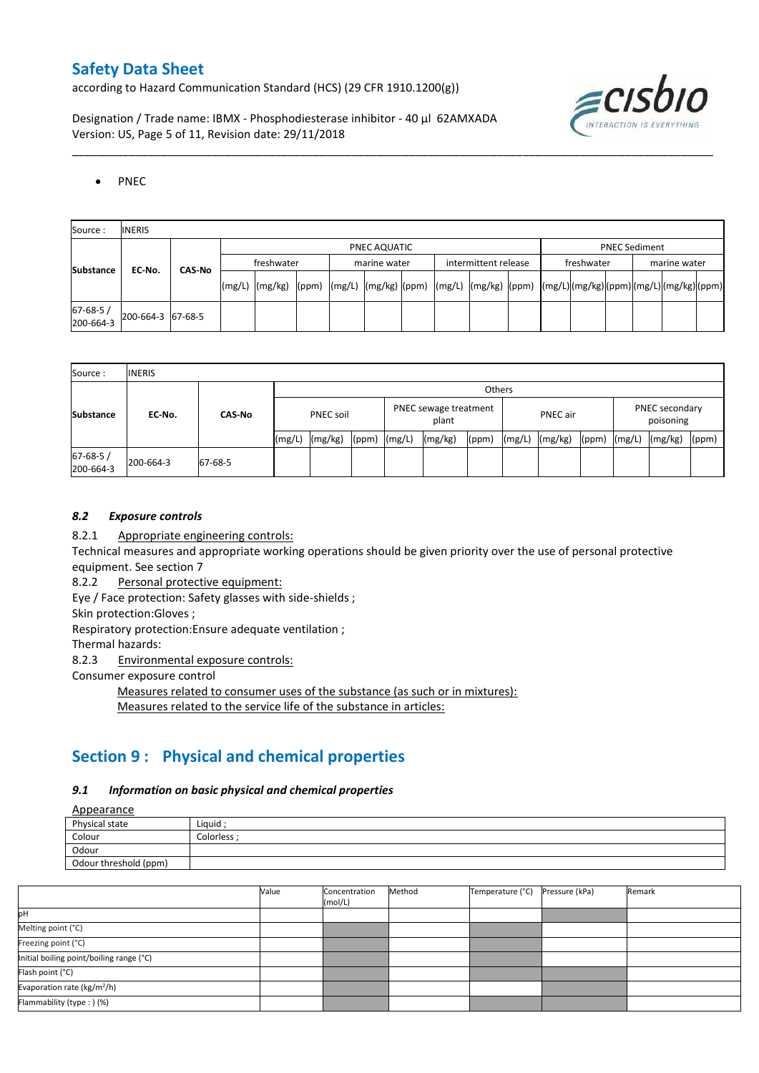according to Hazard Communication Standard (HCS) (29 CFR 1910.1200(g))

Designation / Trade name: IBMX - Phosphodiesterase inhibitor - 40 µl 62AMXADA Version: US, Page 5 of 11, Revision date: 29/11/2018



## • PNEC

| Source:               | <b>INERIS</b>     |            |  |              |  |              |  |                      |  |            |                      |              |  |  |  |  |  |
|-----------------------|-------------------|------------|--|--------------|--|--------------|--|----------------------|--|------------|----------------------|--------------|--|--|--|--|--|
|                       |                   |            |  | PNEC AQUATIC |  |              |  |                      |  |            | <b>PNEC Sediment</b> |              |  |  |  |  |  |
| <b>Substance</b>      | EC No.<br>CAS-No  | freshwater |  |              |  | marine water |  | intermittent release |  | freshwater |                      | marine water |  |  |  |  |  |
|                       |                   |            |  |              |  |              |  |                      |  |            |                      |              |  |  |  |  |  |
| 67-68-5/<br>200-664-3 | 200-664-3 67-68-5 |            |  |              |  |              |  |                      |  |            |                      |              |  |  |  |  |  |

\_\_\_\_\_\_\_\_\_\_\_\_\_\_\_\_\_\_\_\_\_\_\_\_\_\_\_\_\_\_\_\_\_\_\_\_\_\_\_\_\_\_\_\_\_\_\_\_\_\_\_\_\_\_\_\_\_\_\_\_\_\_\_\_\_\_\_\_\_\_\_\_\_\_\_\_\_\_\_\_\_\_\_\_\_\_\_\_\_\_\_\_\_\_\_\_\_\_\_\_\_

| Source:                     | <b>INERIS</b> |               |                  |         |                                |        |         |                 |        |         |                             |        |         |       |
|-----------------------------|---------------|---------------|------------------|---------|--------------------------------|--------|---------|-----------------|--------|---------|-----------------------------|--------|---------|-------|
|                             |               | <b>CAS-No</b> |                  | Others  |                                |        |         |                 |        |         |                             |        |         |       |
| <b>Substance</b><br>EC-No.  |               |               | <b>PNEC soil</b> |         | PNEC sewage treatment<br>plant |        |         | <b>PNEC</b> air |        |         | PNEC secondary<br>poisoning |        |         |       |
|                             |               |               | (mg/L)           | (mg/kg) | (ppm)                          | (mg/L) | (mg/kg) | (ppm)           | (mg/L) | (mg/kg) | (ppm)                       | (mg/L) | (mg/kg) | (ppm) |
| $67 - 68 - 5/$<br>200-664-3 | 200-664-3     | 67-68-5       |                  |         |                                |        |         |                 |        |         |                             |        |         |       |

## *8.2 Exposure controls*

8.2.1 Appropriate engineering controls:

Technical measures and appropriate working operations should be given priority over the use of personal protective equipment. See section 7

8.2.2 Personal protective equipment:

Eye / Face protection: Safety glasses with side-shields ;

Skin protection:Gloves ;

Respiratory protection:Ensure adequate ventilation ;

Thermal hazards:

8.2.3 Environmental exposure controls:

Consumer exposure control

Measures related to consumer uses of the substance (as such or in mixtures): Measures related to the service life of the substance in articles:

# **Section 9 : Physical and chemical properties**

### *9.1 Information on basic physical and chemical properties*

**A**nnearance

| <u>Appearance</u>     |             |
|-----------------------|-------------|
| Physical state        | Liquid      |
| Colour                | Colorless ; |
| Odour                 |             |
| Odour threshold (ppm) |             |

|                                          | Value | Concentration<br>(mol/L) | Method | Temperature (°C) | Pressure (kPa) | Remark |
|------------------------------------------|-------|--------------------------|--------|------------------|----------------|--------|
| pH                                       |       |                          |        |                  |                |        |
| Melting point (°C)                       |       |                          |        |                  |                |        |
| Freezing point (°C)                      |       |                          |        |                  |                |        |
| Initial boiling point/boiling range (°C) |       |                          |        |                  |                |        |
| Flash point (°C)                         |       |                          |        |                  |                |        |
| Evaporation rate (kg/m <sup>2</sup> /h)  |       |                          |        |                  |                |        |
| Flammability (type: ) (%)                |       |                          |        |                  |                |        |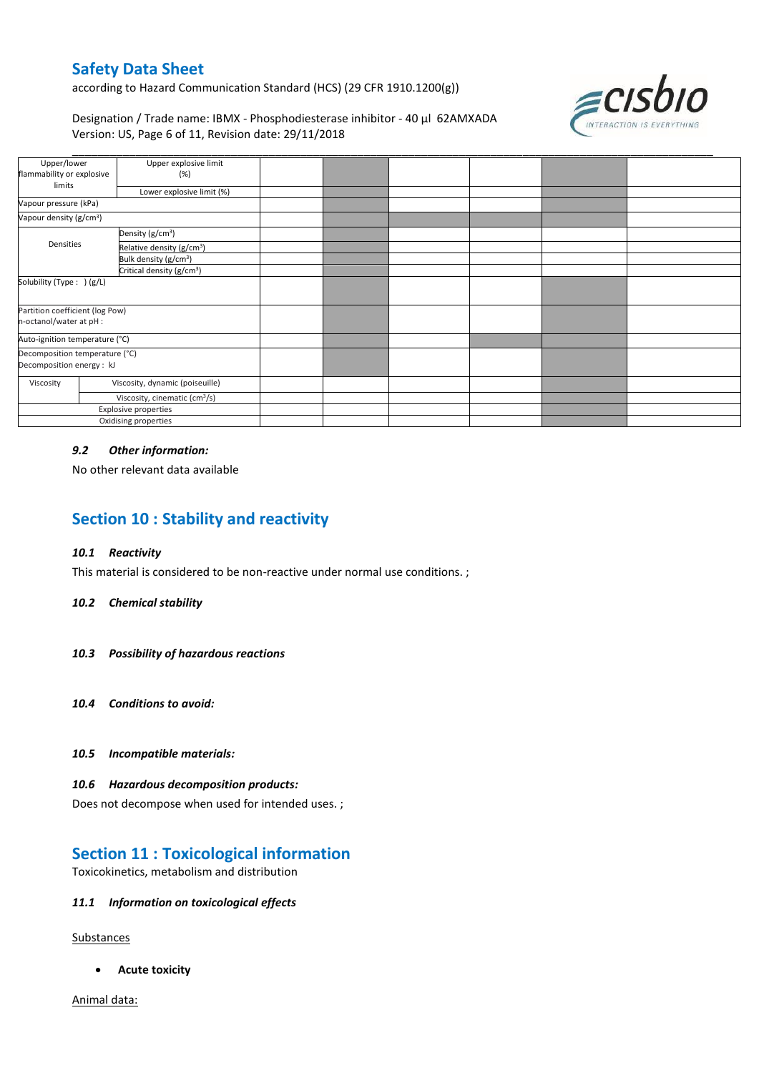according to Hazard Communication Standard (HCS) (29 CFR 1910.1200(g))

ECISDIO

Designation / Trade name: IBMX - Phosphodiesterase inhibitor - 40 µl 62AMXADA Version: US, Page 6 of 11, Revision date: 29/11/2018

| Upper/lower                                                 |                              | Upper explosive limit                 |  |  |  |
|-------------------------------------------------------------|------------------------------|---------------------------------------|--|--|--|
| flammability or explosive<br>limits                         |                              | (%)                                   |  |  |  |
|                                                             |                              | Lower explosive limit (%)             |  |  |  |
| Vapour pressure (kPa)                                       |                              |                                       |  |  |  |
| Vapour density (g/cm <sup>3</sup> )                         |                              |                                       |  |  |  |
|                                                             | Density (g/cm <sup>3</sup> ) |                                       |  |  |  |
| Densities                                                   |                              | Relative density (g/cm <sup>3</sup> ) |  |  |  |
|                                                             |                              | Bulk density (g/cm <sup>3</sup> )     |  |  |  |
|                                                             |                              | Critical density (g/cm <sup>3</sup> ) |  |  |  |
| Solubility (Type: ) (g/L)                                   |                              |                                       |  |  |  |
| Partition coefficient (log Pow)<br>n-octanol/water at pH :  |                              |                                       |  |  |  |
| Auto-ignition temperature (°C)                              |                              |                                       |  |  |  |
| Decomposition temperature (°C)<br>Decomposition energy : kJ |                              |                                       |  |  |  |
| Viscosity, dynamic (poiseuille)<br>Viscosity                |                              |                                       |  |  |  |
| Viscosity, cinematic (cm <sup>3</sup> /s)                   |                              |                                       |  |  |  |
| Explosive properties                                        |                              |                                       |  |  |  |
|                                                             | Oxidising properties         |                                       |  |  |  |

### *9.2 Other information:*

No other relevant data available

# **Section 10 : Stability and reactivity**

### *10.1 Reactivity*

This material is considered to be non-reactive under normal use conditions. ;

#### *10.2 Chemical stability*

- *10.3 Possibility of hazardous reactions*
- *10.4 Conditions to avoid:*
- *10.5 Incompatible materials:*

#### *10.6 Hazardous decomposition products:*

Does not decompose when used for intended uses. ;

## **Section 11 : Toxicological information**

Toxicokinetics, metabolism and distribution

### *11.1 Information on toxicological effects*

**Substances** 

**Acute toxicity**

Animal data: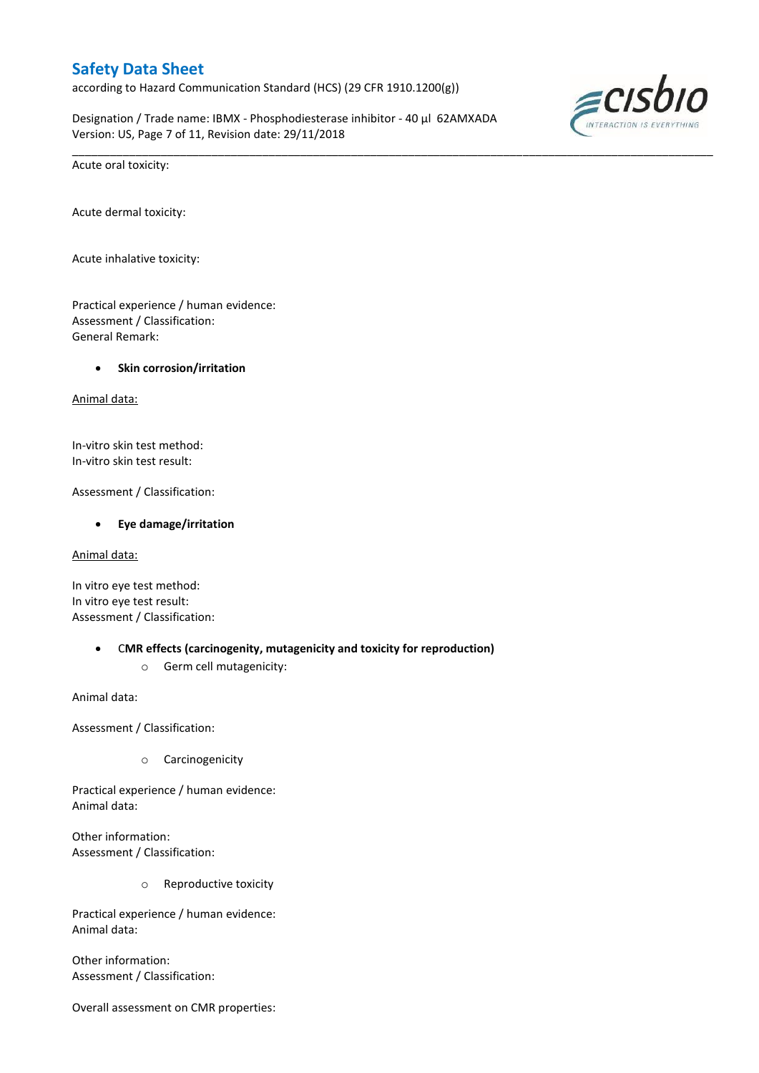according to Hazard Communication Standard (HCS) (29 CFR 1910.1200(g))

Designation / Trade name: IBMX - Phosphodiesterase inhibitor - 40 µl 62AMXADA Version: US, Page 7 of 11, Revision date: 29/11/2018

\_\_\_\_\_\_\_\_\_\_\_\_\_\_\_\_\_\_\_\_\_\_\_\_\_\_\_\_\_\_\_\_\_\_\_\_\_\_\_\_\_\_\_\_\_\_\_\_\_\_\_\_\_\_\_\_\_\_\_\_\_\_\_\_\_\_\_\_\_\_\_\_\_\_\_\_\_\_\_\_\_\_\_\_\_\_\_\_\_\_\_\_\_\_\_\_\_\_\_\_\_



Acute oral toxicity:

Acute dermal toxicity:

Acute inhalative toxicity:

Practical experience / human evidence: Assessment / Classification: General Remark:

### **Skin corrosion/irritation**

Animal data:

In-vitro skin test method: In-vitro skin test result:

Assessment / Classification:

#### **Eye damage/irritation**

Animal data:

In vitro eye test method: In vitro eye test result: Assessment / Classification:

- C**MR effects (carcinogenity, mutagenicity and toxicity for reproduction)**
	- o Germ cell mutagenicity:

Animal data:

Assessment / Classification:

o Carcinogenicity

Practical experience / human evidence: Animal data:

Other information: Assessment / Classification:

o Reproductive toxicity

Practical experience / human evidence: Animal data:

Other information: Assessment / Classification:

Overall assessment on CMR properties: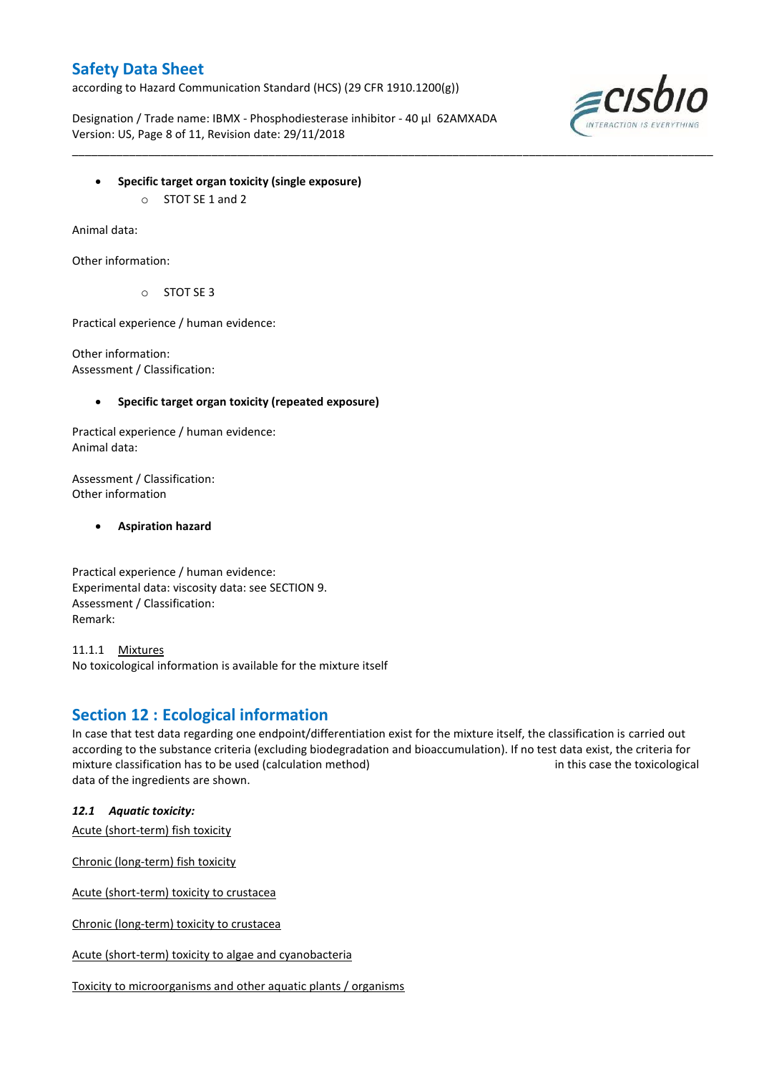according to Hazard Communication Standard (HCS) (29 CFR 1910.1200(g))

Designation / Trade name: IBMX - Phosphodiesterase inhibitor - 40 µl 62AMXADA Version: US, Page 8 of 11, Revision date: 29/11/2018

\_\_\_\_\_\_\_\_\_\_\_\_\_\_\_\_\_\_\_\_\_\_\_\_\_\_\_\_\_\_\_\_\_\_\_\_\_\_\_\_\_\_\_\_\_\_\_\_\_\_\_\_\_\_\_\_\_\_\_\_\_\_\_\_\_\_\_\_\_\_\_\_\_\_\_\_\_\_\_\_\_\_\_\_\_\_\_\_\_\_\_\_\_\_\_\_\_\_\_\_\_



- **Specific target organ toxicity (single exposure)**
	- o STOT SE 1 and 2

Animal data:

Other information:

o STOT SE 3

Practical experience / human evidence:

Other information: Assessment / Classification:

### **Specific target organ toxicity (repeated exposure)**

Practical experience / human evidence: Animal data:

Assessment / Classification: Other information

**Aspiration hazard**

Practical experience / human evidence: Experimental data: viscosity data: see SECTION 9. Assessment / Classification: Remark:

11.1.1 Mixtures No toxicological information is available for the mixture itself

## **Section 12 : Ecological information**

In case that test data regarding one endpoint/differentiation exist for the mixture itself, the classification is carried out according to the substance criteria (excluding biodegradation and bioaccumulation). If no test data exist, the criteria for mixture classification has to be used (calculation method) in this case the toxicological data of the ingredients are shown.

*12.1 Aquatic toxicity:* 

Acute (short-term) fish toxicity

Chronic (long-term) fish toxicity

Acute (short-term) toxicity to crustacea

Chronic (long-term) toxicity to crustacea

Acute (short-term) toxicity to algae and cyanobacteria

Toxicity to microorganisms and other aquatic plants / organisms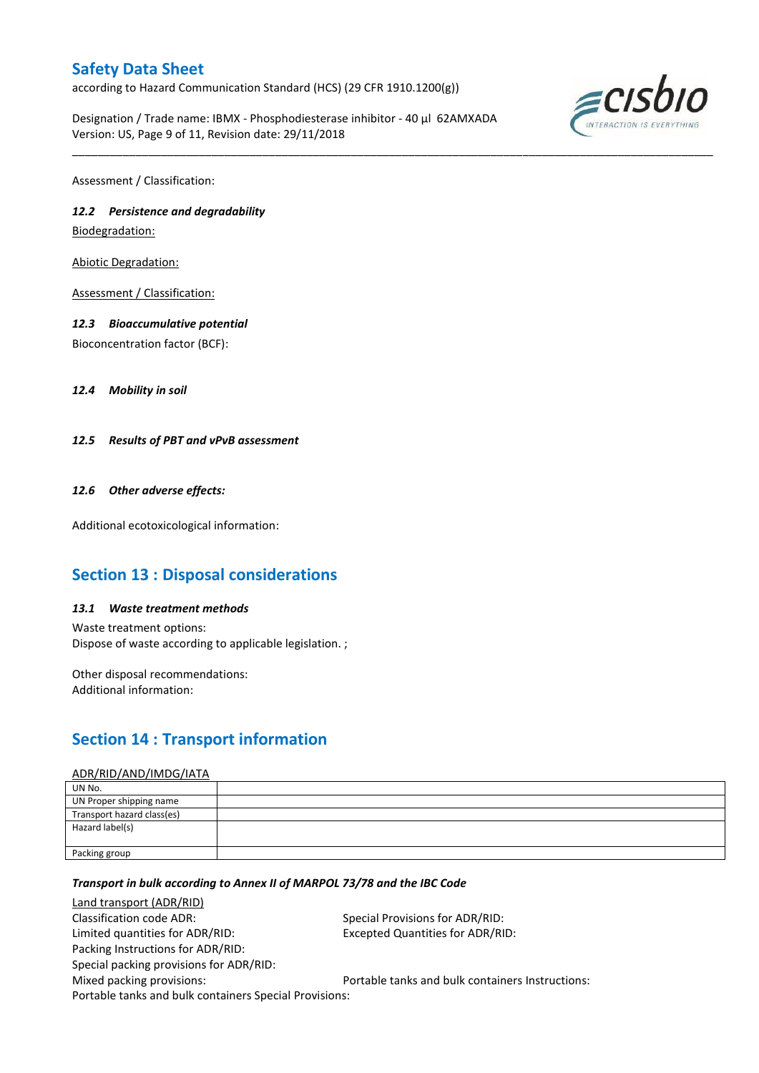according to Hazard Communication Standard (HCS) (29 CFR 1910.1200(g))

Designation / Trade name: IBMX - Phosphodiesterase inhibitor - 40 µl 62AMXADA Version: US, Page 9 of 11, Revision date: 29/11/2018

\_\_\_\_\_\_\_\_\_\_\_\_\_\_\_\_\_\_\_\_\_\_\_\_\_\_\_\_\_\_\_\_\_\_\_\_\_\_\_\_\_\_\_\_\_\_\_\_\_\_\_\_\_\_\_\_\_\_\_\_\_\_\_\_\_\_\_\_\_\_\_\_\_\_\_\_\_\_\_\_\_\_\_\_\_\_\_\_\_\_\_\_\_\_\_\_\_\_\_\_\_



Assessment / Classification:

## *12.2 Persistence and degradability*

Biodegradation:

Abiotic Degradation:

Assessment / Classification:

### *12.3 Bioaccumulative potential*

Bioconcentration factor (BCF):

*12.4 Mobility in soil*

*12.5 Results of PBT and vPvB assessment*

### *12.6 Other adverse effects:*

Additional ecotoxicological information:

# **Section 13 : Disposal considerations**

### *13.1 Waste treatment methods*

Waste treatment options: Dispose of waste according to applicable legislation. ;

Other disposal recommendations: Additional information:

# **Section 14 : Transport information**

#### ADR/RID/AND/IMDG/IATA

| UN No.                     |  |
|----------------------------|--|
| UN Proper shipping name    |  |
| Transport hazard class(es) |  |
| Hazard label(s)            |  |
|                            |  |
| Packing group              |  |

### *Transport in bulk according to Annex II of MARPOL 73/78 and the IBC Code*

Land transport (ADR/RID) Classification code ADR: Special Provisions for ADR/RID: Limited quantities for ADR/RID: Excepted Quantities for ADR/RID: Packing Instructions for ADR/RID: Special packing provisions for ADR/RID: Mixed packing provisions: Portable tanks and bulk containers Instructions: Portable tanks and bulk containers Special Provisions: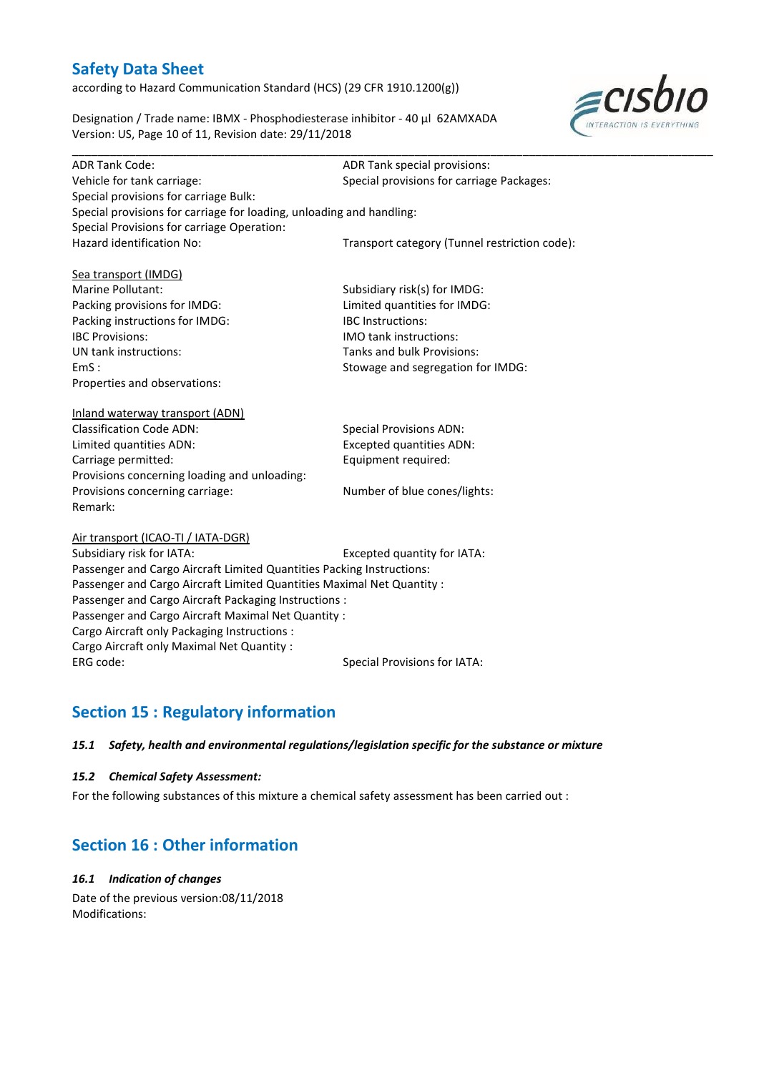according to Hazard Communication Standard (HCS) (29 CFR 1910.1200(g))

Designation / Trade name: IBMX - Phosphodiesterase inhibitor - 40 µl 62AMXADA Version: US, Page 10 of 11, Revision date: 29/11/2018



| <b>ADR Tank Code:</b>                                                  | ADR Tank special provisions:                  |
|------------------------------------------------------------------------|-----------------------------------------------|
| Vehicle for tank carriage:                                             | Special provisions for carriage Packages:     |
| Special provisions for carriage Bulk:                                  |                                               |
| Special provisions for carriage for loading, unloading and handling:   |                                               |
| Special Provisions for carriage Operation:                             |                                               |
| Hazard identification No:                                              | Transport category (Tunnel restriction code): |
|                                                                        |                                               |
| Sea transport (IMDG)                                                   |                                               |
| Marine Pollutant:                                                      | Subsidiary risk(s) for IMDG:                  |
| Packing provisions for IMDG:                                           | Limited quantities for IMDG:                  |
| Packing instructions for IMDG:                                         | <b>IBC</b> Instructions:                      |
| <b>IBC Provisions:</b>                                                 | <b>IMO</b> tank instructions:                 |
| UN tank instructions:                                                  | Tanks and bulk Provisions:                    |
| EmS:                                                                   | Stowage and segregation for IMDG:             |
| Properties and observations:                                           |                                               |
|                                                                        |                                               |
| Inland waterway transport (ADN)                                        |                                               |
| <b>Classification Code ADN:</b>                                        | <b>Special Provisions ADN:</b>                |
| Limited quantities ADN:                                                | <b>Excepted quantities ADN:</b>               |
| Carriage permitted:                                                    | Equipment required:                           |
| Provisions concerning loading and unloading:                           |                                               |
| Provisions concerning carriage:                                        | Number of blue cones/lights:                  |
| Remark:                                                                |                                               |
|                                                                        |                                               |
| Air transport (ICAO-TI / IATA-DGR)                                     |                                               |
| Subsidiary risk for IATA:                                              | Excepted quantity for IATA:                   |
| Passenger and Cargo Aircraft Limited Quantities Packing Instructions:  |                                               |
| Passenger and Cargo Aircraft Limited Quantities Maximal Net Quantity : |                                               |
| Passenger and Cargo Aircraft Packaging Instructions :                  |                                               |
| Passenger and Cargo Aircraft Maximal Net Quantity :                    |                                               |
| Cargo Aircraft only Packaging Instructions :                           |                                               |
| Cargo Aircraft only Maximal Net Quantity :                             |                                               |
| ERG code:                                                              | <b>Special Provisions for IATA:</b>           |

# **Section 15 : Regulatory information**

### *15.1 Safety, health and environmental regulations/legislation specific for the substance or mixture*

### *15.2 Chemical Safety Assessment:*

For the following substances of this mixture a chemical safety assessment has been carried out :

# **Section 16 : Other information**

## *16.1 Indication of changes*

Date of the previous version:08/11/2018 Modifications: